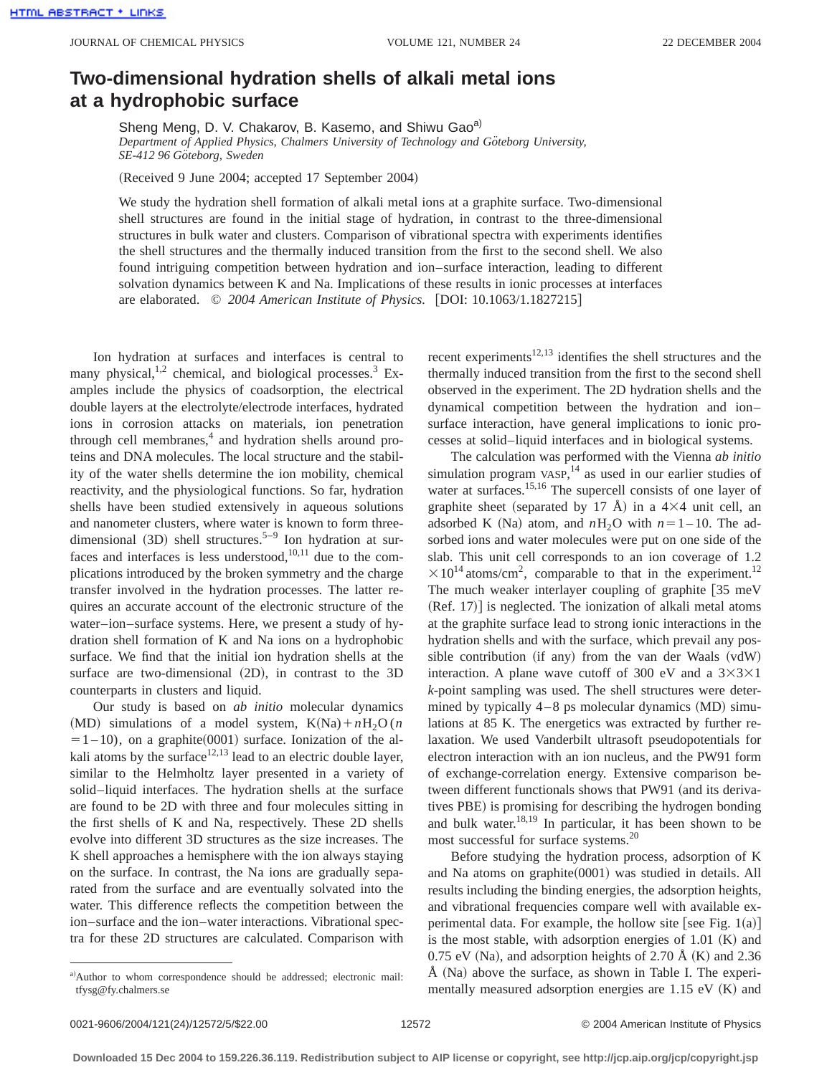## **Two-dimensional hydration shells of alkali metal ions at a hydrophobic surface**

Sheng Meng, D. V. Chakarov, B. Kasemo, and Shiwu Gao<sup>a)</sup> Department of Applied Physics, Chalmers University of Technology and Göteborg University, *SE-412 96 Go¨teborg, Sweden*

(Received 9 June 2004; accepted 17 September 2004)

We study the hydration shell formation of alkali metal ions at a graphite surface. Two-dimensional shell structures are found in the initial stage of hydration, in contrast to the three-dimensional structures in bulk water and clusters. Comparison of vibrational spectra with experiments identifies the shell structures and the thermally induced transition from the first to the second shell. We also found intriguing competition between hydration and ion–surface interaction, leading to different solvation dynamics between K and Na. Implications of these results in ionic processes at interfaces are elaborated.  $\odot$  2004 American Institute of Physics. [DOI: 10.1063/1.1827215]

Ion hydration at surfaces and interfaces is central to many physical, $1,2$  chemical, and biological processes.<sup>3</sup> Examples include the physics of coadsorption, the electrical double layers at the electrolyte/electrode interfaces, hydrated ions in corrosion attacks on materials, ion penetration through cell membranes, $4$  and hydration shells around proteins and DNA molecules. The local structure and the stability of the water shells determine the ion mobility, chemical reactivity, and the physiological functions. So far, hydration shells have been studied extensively in aqueous solutions and nanometer clusters, where water is known to form threedimensional  $(3D)$  shell structures.<sup>5–9</sup> Ion hydration at surfaces and interfaces is less understood, $10,11$  due to the complications introduced by the broken symmetry and the charge transfer involved in the hydration processes. The latter requires an accurate account of the electronic structure of the water–ion–surface systems. Here, we present a study of hydration shell formation of K and Na ions on a hydrophobic surface. We find that the initial ion hydration shells at the surface are two-dimensional  $(2D)$ , in contrast to the 3D counterparts in clusters and liquid.

Our study is based on *ab initio* molecular dynamics (MD) simulations of a model system,  $K(Na) + nH_2O(n)$  $=1 - 10$ , on a graphite $(0001)$  surface. Ionization of the alkali atoms by the surface $12,13$  lead to an electric double layer, similar to the Helmholtz layer presented in a variety of solid–liquid interfaces. The hydration shells at the surface are found to be 2D with three and four molecules sitting in the first shells of K and Na, respectively. These 2D shells evolve into different 3D structures as the size increases. The K shell approaches a hemisphere with the ion always staying on the surface. In contrast, the Na ions are gradually separated from the surface and are eventually solvated into the water. This difference reflects the competition between the ion–surface and the ion–water interactions. Vibrational spectra for these 2D structures are calculated. Comparison with

a)Author to whom correspondence should be addressed; electronic mail: tfysg@fy.chalmers.se

recent experiments $12,13$  identifies the shell structures and the thermally induced transition from the first to the second shell observed in the experiment. The 2D hydration shells and the dynamical competition between the hydration and ion– surface interaction, have general implications to ionic processes at solid–liquid interfaces and in biological systems.

The calculation was performed with the Vienna *ab initio* simulation program VASP,<sup>14</sup> as used in our earlier studies of water at surfaces.<sup>15,16</sup> The supercell consists of one layer of graphite sheet (separated by 17 Å) in a  $4\times4$  unit cell, an adsorbed K (Na) atom, and  $nH_2O$  with  $n=1-10$ . The adsorbed ions and water molecules were put on one side of the slab. This unit cell corresponds to an ion coverage of 1.2  $\times 10^{14}$  atoms/cm<sup>2</sup>, comparable to that in the experiment.<sup>12</sup> The much weaker interlayer coupling of graphite  $[35 \text{ meV}]$  $(Ref. 17)$  is neglected. The ionization of alkali metal atoms at the graphite surface lead to strong ionic interactions in the hydration shells and with the surface, which prevail any possible contribution (if any) from the van der Waals (vdW) interaction. A plane wave cutoff of 300 eV and a  $3 \times 3 \times 1$ *k*-point sampling was used. The shell structures were determined by typically  $4-8$  ps molecular dynamics  $(MD)$  simulations at 85 K. The energetics was extracted by further relaxation. We used Vanderbilt ultrasoft pseudopotentials for electron interaction with an ion nucleus, and the PW91 form of exchange-correlation energy. Extensive comparison between different functionals shows that PW91 (and its derivatives PBE) is promising for describing the hydrogen bonding and bulk water. $18,19$  In particular, it has been shown to be most successful for surface systems.20

Before studying the hydration process, adsorption of K and Na atoms on graphite $(0001)$  was studied in details. All results including the binding energies, the adsorption heights, and vibrational frequencies compare well with available experimental data. For example, the hollow site [see Fig.  $1(a)$ ] is the most stable, with adsorption energies of  $1.01$  (K) and 0.75 eV (Na), and adsorption heights of 2.70 Å (K) and 2.36  $\AA$  (Na) above the surface, as shown in Table I. The experimentally measured adsorption energies are  $1.15$  eV  $(K)$  and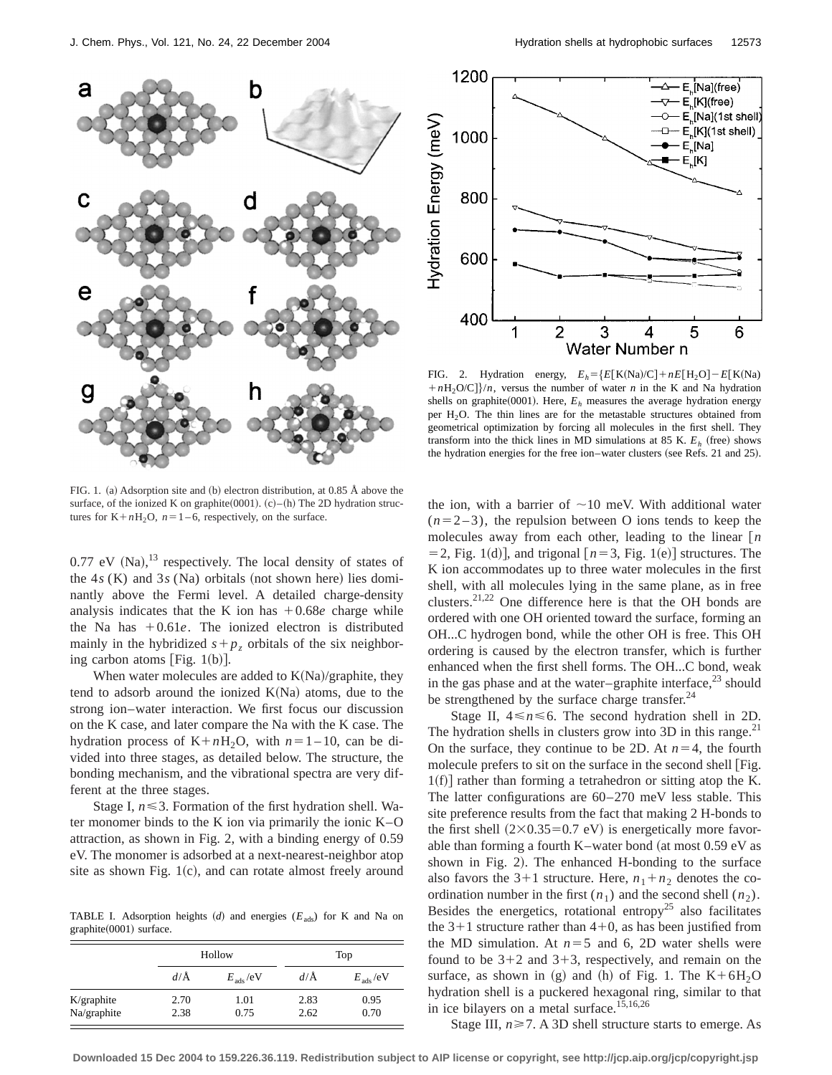



FIG. 2. Hydration energy,  $E_h = \{E[K(Na)/C] + nE[H_2O] - E[K(Na)$  $+nH_2O/C$ }/*n*, versus the number of water *n* in the K and Na hydration shells on graphite(0001). Here,  $E<sub>h</sub>$  measures the average hydration energy per  $H<sub>2</sub>O$ . The thin lines are for the metastable structures obtained from geometrical optimization by forcing all molecules in the first shell. They transform into the thick lines in MD simulations at 85 K.  $E<sub>h</sub>$  (free) shows the hydration energies for the free ion–water clusters (see Refs. 21 and 25).

FIG. 1. (a) Adsorption site and (b) electron distribution, at 0.85 Å above the surface, of the ionized K on graphite  $(0001)$ .  $(c)$ – $(h)$  The 2D hydration structures for  $K+nH_2O$ ,  $n=1-6$ , respectively, on the surface.

 $0.77$  eV (Na),<sup>13</sup> respectively. The local density of states of the  $4s$  (K) and  $3s$  (Na) orbitals (not shown here) lies dominantly above the Fermi level. A detailed charge-density analysis indicates that the K ion has  $+0.68e$  charge while the Na has  $+0.61e$ . The ionized electron is distributed mainly in the hybridized  $s+p_z$  orbitals of the six neighboring carbon atoms [Fig.  $1(b)$ ].

When water molecules are added to  $K(Na)/graphite$ , they tend to adsorb around the ionized  $K(Na)$  atoms, due to the strong ion–water interaction. We first focus our discussion on the K case, and later compare the Na with the K case. The hydration process of  $K+nH_2O$ , with  $n=1-10$ , can be divided into three stages, as detailed below. The structure, the bonding mechanism, and the vibrational spectra are very different at the three stages.

Stage I,  $n \leq 3$ . Formation of the first hydration shell. Water monomer binds to the K ion via primarily the ionic K–O attraction, as shown in Fig. 2, with a binding energy of 0.59 eV. The monomer is adsorbed at a next-nearest-neighbor atop site as shown Fig.  $1(c)$ , and can rotate almost freely around

TABLE I. Adsorption heights  $(d)$  and energies  $(E_{ads})$  for K and Na on  $graphite(0001)$  surface.

|             |         | Hollow            | Top            |                      |  |
|-------------|---------|-------------------|----------------|----------------------|--|
|             | $d/\AA$ | $E_{\rm ads}$ /eV | $d/\text{\AA}$ | $E_{\text{ads}}$ /eV |  |
| K/graphite  | 2.70    | 1.01              | 2.83           | 0.95                 |  |
| Na/graphite | 2.38    | 0.75              | 2.62           | 0.70                 |  |

the ion, with a barrier of  $\sim$ 10 meV. With additional water  $(n=2-3)$ , the repulsion between O ions tends to keep the molecules away from each other, leading to the linear  $[n]$  $=$  2, Fig. 1(d)], and trigonal  $[n=3,$  Fig. 1(e)] structures. The K ion accommodates up to three water molecules in the first shell, with all molecules lying in the same plane, as in free clusters. $21,22$  One difference here is that the OH bonds are ordered with one OH oriented toward the surface, forming an OH...C hydrogen bond, while the other OH is free. This OH ordering is caused by the electron transfer, which is further enhanced when the first shell forms. The OH...C bond, weak in the gas phase and at the water–graphite interface, $^{23}$  should be strengthened by the surface charge transfer. $^{24}$ 

Stage II,  $4 \le n \le 6$ . The second hydration shell in 2D. The hydration shells in clusters grow into  $3D$  in this range.<sup>21</sup> On the surface, they continue to be 2D. At  $n=4$ , the fourth molecule prefers to sit on the surface in the second shell  $[Fig.$  $1(f)$  rather than forming a tetrahedron or sitting atop the K. The latter configurations are 60–270 meV less stable. This site preference results from the fact that making 2 H-bonds to the first shell  $(2\times0.35=0.7 \text{ eV})$  is energetically more favorable than forming a fourth K–water bond (at most  $0.59$  eV as shown in Fig. 2). The enhanced H-bonding to the surface also favors the 3+1 structure. Here,  $n_1 + n_2$  denotes the coordination number in the first  $(n_1)$  and the second shell  $(n_2)$ . Besides the energetics, rotational entropy<sup>25</sup> also facilitates the  $3+1$  structure rather than  $4+0$ , as has been justified from the MD simulation. At  $n=5$  and 6, 2D water shells were found to be  $3+2$  and  $3+3$ , respectively, and remain on the surface, as shown in (g) and (h) of Fig. 1. The  $K+6H<sub>2</sub>O$ hydration shell is a puckered hexagonal ring, similar to that in ice bilayers on a metal surface.<sup>15,16,26</sup>

Stage III,  $n \ge 7$ . A 3D shell structure starts to emerge. As

**Downloaded 15 Dec 2004 to 159.226.36.119. Redistribution subject to AIP license or copyright, see http://jcp.aip.org/jcp/copyright.jsp**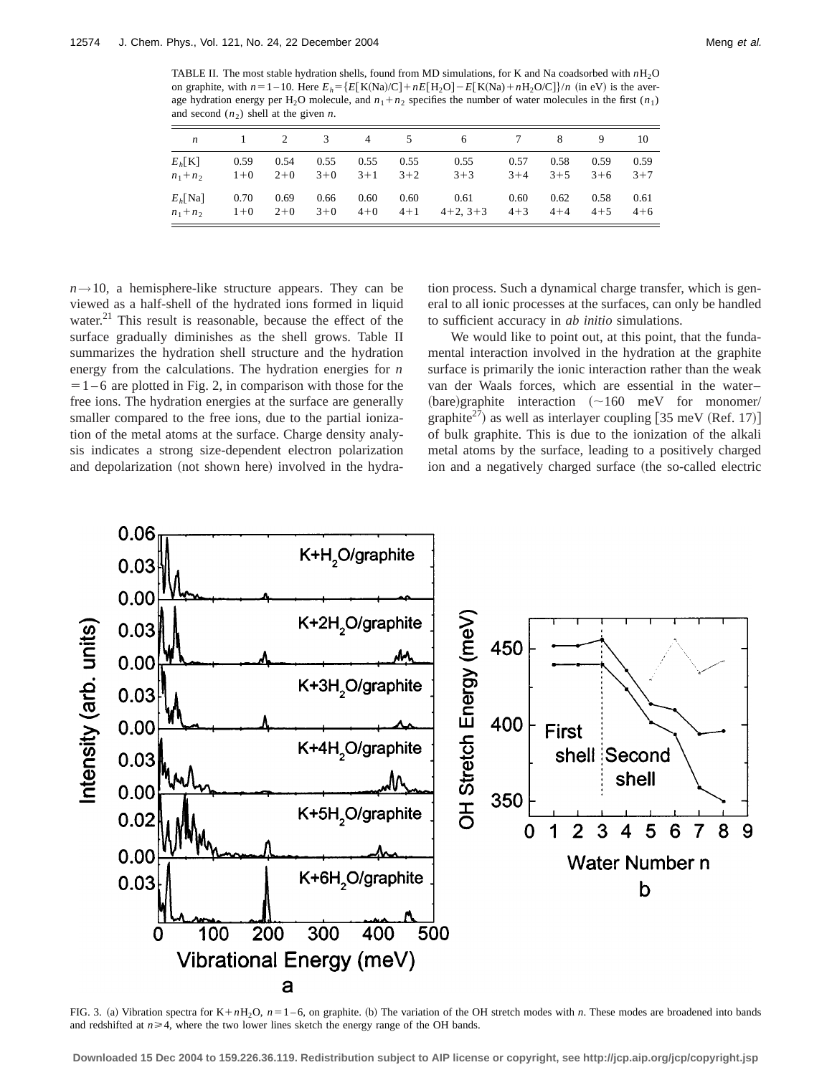TABLE II. The most stable hydration shells, found from MD simulations, for K and Na coadsorbed with *n*H2O on graphite, with  $n=1-10$ . Here  $E_h = \{E[K(Na)/C] + nE[H_2O] - E[K(Na) + nH_2O/C]\}/n$  (in eV) is the average hydration energy per H<sub>2</sub>O molecule, and  $n_1 + n_2$  specifies the number of water molecules in the first  $(n_1)$ and second  $(n_2)$  shell at the given *n*.

| $\boldsymbol{n}$ | $\mathbf{1}$ | 2       | 3     | $\overline{4}$ | -5      | 6          | 7       | -8      | 9       | 10      |
|------------------|--------------|---------|-------|----------------|---------|------------|---------|---------|---------|---------|
| $E_h[K]$         | 0.59         | 0.54    | 0.55  | 0.55           | 0.55    | 0.55       | 0.57    | 0.58    | 0.59    | 0.59    |
| $n_1 + n_2$      | $1 + 0$      | $2+0$   | $3+0$ | $3+1$          | $3+2$   | $3+3$      | $3 + 4$ | $3+5$   | $3+6$   | $3 + 7$ |
| $Eb$ [Na]        | 0.70         | 0.69    | 0.66  | 0.60           | 0.60    | 0.61       | 0.60    | 0.62    | 0.58    | 0.61    |
| $n_1 + n_2$      | $1 + 0$      | $2 + 0$ | $3+0$ | $4 + 0$        | $4 + 1$ | $4+2, 3+3$ | $4 + 3$ | $4 + 4$ | $4 + 5$ | $4 + 6$ |

 $n \rightarrow 10$ , a hemisphere-like structure appears. They can be viewed as a half-shell of the hydrated ions formed in liquid water. $^{21}$  This result is reasonable, because the effect of the surface gradually diminishes as the shell grows. Table II summarizes the hydration shell structure and the hydration energy from the calculations. The hydration energies for *n*  $=1-6$  are plotted in Fig. 2, in comparison with those for the free ions. The hydration energies at the surface are generally smaller compared to the free ions, due to the partial ionization of the metal atoms at the surface. Charge density analysis indicates a strong size-dependent electron polarization and depolarization (not shown here) involved in the hydra-

tion process. Such a dynamical charge transfer, which is general to all ionic processes at the surfaces, can only be handled to sufficient accuracy in *ab initio* simulations.

We would like to point out, at this point, that the fundamental interaction involved in the hydration at the graphite surface is primarily the ionic interaction rather than the weak van der Waals forces, which are essential in the water–  $(bare)$ graphite interaction  $(\sim 160$  meV for monomer/ graphite<sup>27</sup>) as well as interlayer coupling  $[35 \text{ meV (Ref. 17)}]$ of bulk graphite. This is due to the ionization of the alkali metal atoms by the surface, leading to a positively charged ion and a negatively charged surface (the so-called electric



FIG. 3. (a) Vibration spectra for  $K+nH_2O$ ,  $n=1-6$ , on graphite. (b) The variation of the OH stretch modes with *n*. These modes are broadened into bands and redshifted at  $n \geq 4$ , where the two lower lines sketch the energy range of the OH bands.

**Downloaded 15 Dec 2004 to 159.226.36.119. Redistribution subject to AIP license or copyright, see http://jcp.aip.org/jcp/copyright.jsp**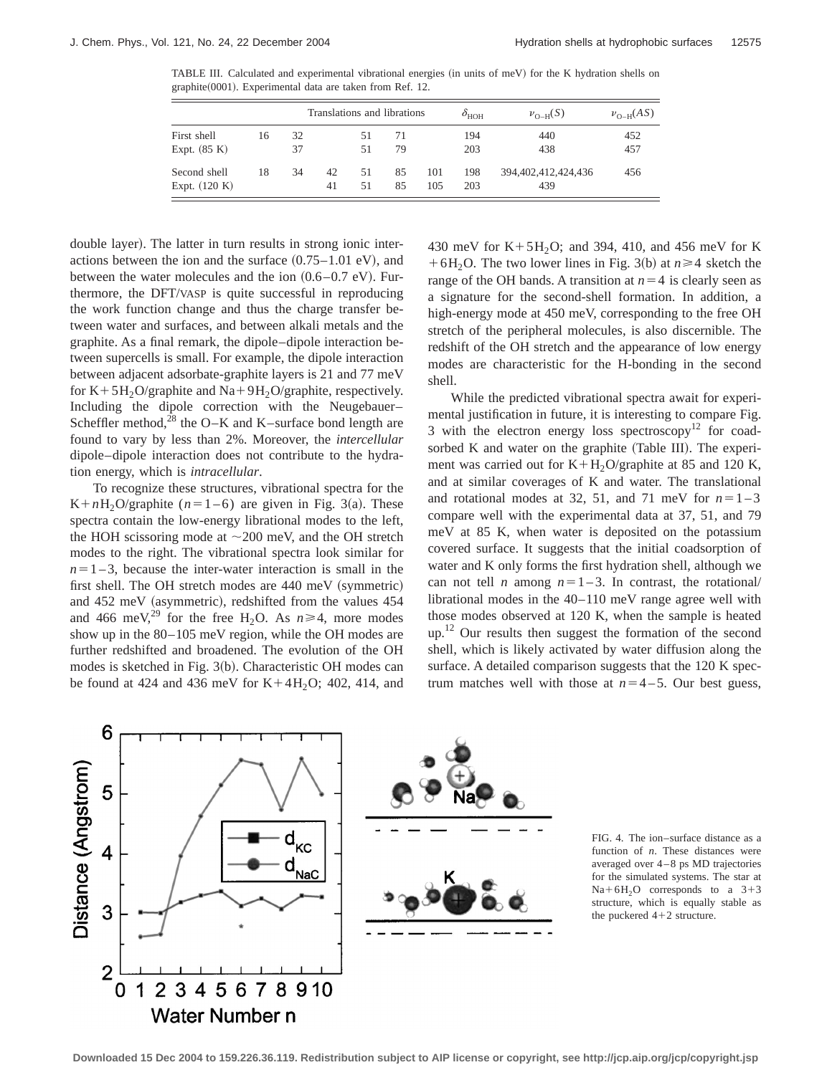TABLE III. Calculated and experimental vibrational energies (in units of meV) for the K hydration shells on graphite(0001). Experimental data are taken from Ref. 12.

| First shell<br>Expt. $(85 K)$   |    |          | Translations and librations |          |          |            | $\delta_{\rm HOH}$ | $\nu_{\Omega-H}(S)$        | $\nu_{\Omega-H}(AS)$ |  |
|---------------------------------|----|----------|-----------------------------|----------|----------|------------|--------------------|----------------------------|----------------------|--|
|                                 | 16 | 32<br>37 |                             | 51<br>51 | 71<br>79 |            | 194<br>203         | 440<br>438                 | 452<br>457           |  |
| Second shell<br>Expt. $(120 K)$ | 18 | 34       | 42<br>41                    | 51<br>51 | 85<br>85 | 101<br>105 | 198<br>203         | 394,402,412,424,436<br>439 | 456                  |  |

double layer). The latter in turn results in strong ionic interactions between the ion and the surface  $(0.75-1.01 \text{ eV})$ , and between the water molecules and the ion  $(0.6-0.7 \text{ eV})$ . Furthermore, the DFT/VASP is quite successful in reproducing the work function change and thus the charge transfer between water and surfaces, and between alkali metals and the graphite. As a final remark, the dipole–dipole interaction between supercells is small. For example, the dipole interaction between adjacent adsorbate-graphite layers is 21 and 77 meV for  $K+5H<sub>2</sub>O/graphite$  and  $Na+9H<sub>2</sub>O/graphite$ , respectively. Including the dipole correction with the Neugebauer– Scheffler method, $^{28}$  the O–K and K–surface bond length are found to vary by less than 2%. Moreover, the *intercellular* dipole–dipole interaction does not contribute to the hydration energy, which is *intracellular*.

To recognize these structures, vibrational spectra for the K+nH<sub>2</sub>O/graphite ( $n=1-6$ ) are given in Fig. 3(a). These spectra contain the low-energy librational modes to the left, the HOH scissoring mode at  $\sim$  200 meV, and the OH stretch modes to the right. The vibrational spectra look similar for  $n=1-3$ , because the inter-water interaction is small in the first shell. The OH stretch modes are  $440~\text{meV}$  (symmetric) and  $452$  meV (asymmetric), redshifted from the values  $454$ and 466 meV,<sup>29</sup> for the free H<sub>2</sub>O. As  $n \ge 4$ , more modes show up in the 80–105 meV region, while the OH modes are further redshifted and broadened. The evolution of the OH modes is sketched in Fig. 3(b). Characteristic OH modes can be found at 424 and 436 meV for  $K+4H_2O$ ; 402, 414, and 430 meV for  $K + 5H<sub>2</sub>O$ ; and 394, 410, and 456 meV for K  $+6H<sub>2</sub>$ O. The two lower lines in Fig. 3(b) at  $n \ge 4$  sketch the range of the OH bands. A transition at  $n=4$  is clearly seen as a signature for the second-shell formation. In addition, a high-energy mode at 450 meV, corresponding to the free OH stretch of the peripheral molecules, is also discernible. The redshift of the OH stretch and the appearance of low energy modes are characteristic for the H-bonding in the second shell.

While the predicted vibrational spectra await for experimental justification in future, it is interesting to compare Fig. 3 with the electron energy loss spectroscopy<sup>12</sup> for coadsorbed K and water on the graphite (Table III). The experiment was carried out for  $K+H<sub>2</sub>O/graphite$  at 85 and 120 K, and at similar coverages of K and water. The translational and rotational modes at 32, 51, and 71 meV for  $n=1-3$ compare well with the experimental data at 37, 51, and 79 meV at 85 K, when water is deposited on the potassium covered surface. It suggests that the initial coadsorption of water and K only forms the first hydration shell, although we can not tell *n* among  $n=1-3$ . In contrast, the rotational/ librational modes in the 40–110 meV range agree well with those modes observed at 120 K, when the sample is heated up.<sup>12</sup> Our results then suggest the formation of the second shell, which is likely activated by water diffusion along the surface. A detailed comparison suggests that the 120 K spectrum matches well with those at  $n=4-5$ . Our best guess,



FIG. 4. The ion–surface distance as a function of *n*. These distances were averaged over 4–8 ps MD trajectories for the simulated systems. The star at  $Na+6H<sub>2</sub>O$  corresponds to a 3+3 structure, which is equally stable as the puckered  $4+2$  structure.